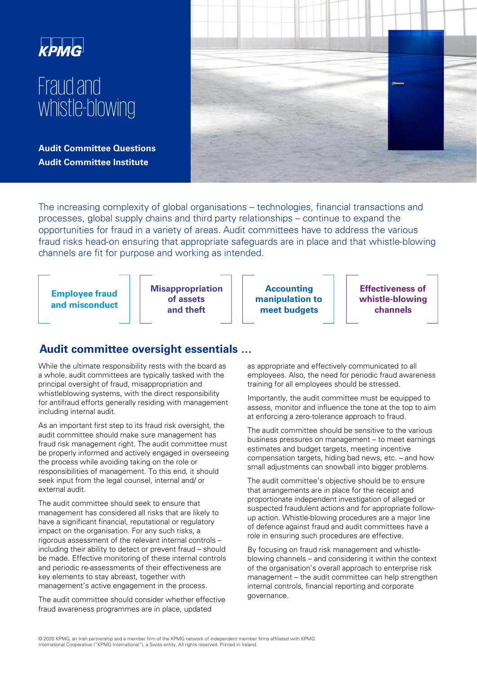

# Fraud and whistle-blowing

**Audit Committee Questions Audit Committee Institute**



The increasing complexity of global organisations – technologies, financial transactions and processes, global supply chains and third party relationships – continue to expand the opportunities for fraud in a variety of areas. Audit committees have to address the various fraud risks head-on ensuring that appropriate safeguards are in place and that whistle-blowing channels are fit for purpose and working as intended.

**Employee fraud and misconduct** **Misappropriation of assets and theft**

**Accounting manipulation to meet budgets**

**Effectiveness of whistle-blowing channels**

# **Audit committee oversight essentials …**

While the ultimate responsibility rests with the board as a whole, audit committees are typically tasked with the principal oversight of fraud, misappropriation and whistleblowing systems, with the direct responsibility for antifraud efforts generally residing with management including internal audit.

As an important first step to its fraud risk oversight, the audit committee should make sure management has fraud risk management right. The audit committee must be properly informed and actively engaged in overseeing the process while avoiding taking on the role or responsibilities of management. To this end, it should seek input from the legal counsel, internal and/ or external audit.

The audit committee should seek to ensure that management has considered all risks that are likely to have a significant financial, reputational or regulatory impact on the organisation. For any such risks, a rigorous assessment of the relevant internal controls – including their ability to detect or prevent fraud – should be made. Effective monitoring of these internal controls and periodic re-assessments of their effectiveness are key elements to stay abreast, together with management's active engagement in the process.

The audit committee should consider whether effective fraud awareness programmes are in place, updated

as appropriate and effectively communicated to all employees. Also, the need for periodic fraud awareness training for all employees should be stressed.

Importantly, the audit committee must be equipped to assess, monitor and influence the tone at the top to aim at enforcing a zero-tolerance approach to fraud.

The audit committee should be sensitive to the various business pressures on management – to meet earnings estimates and budget targets, meeting incentive compensation targets, hiding bad news, etc. – and how small adjustments can snowball into bigger problems.

The audit committee's objective should be to ensure that arrangements are in place for the receipt and proportionate independent investigation of alleged or suspected fraudulent actions and for appropriate followup action. Whistle-blowing procedures are a major line of defence against fraud and audit committees have a role in ensuring such procedures are effective.

By focusing on fraud risk management and whistleblowing channels – and considering it within the context of the organisation's overall approach to enterprise risk management – the audit committee can help strengthen internal controls, financial reporting and corporate governance.